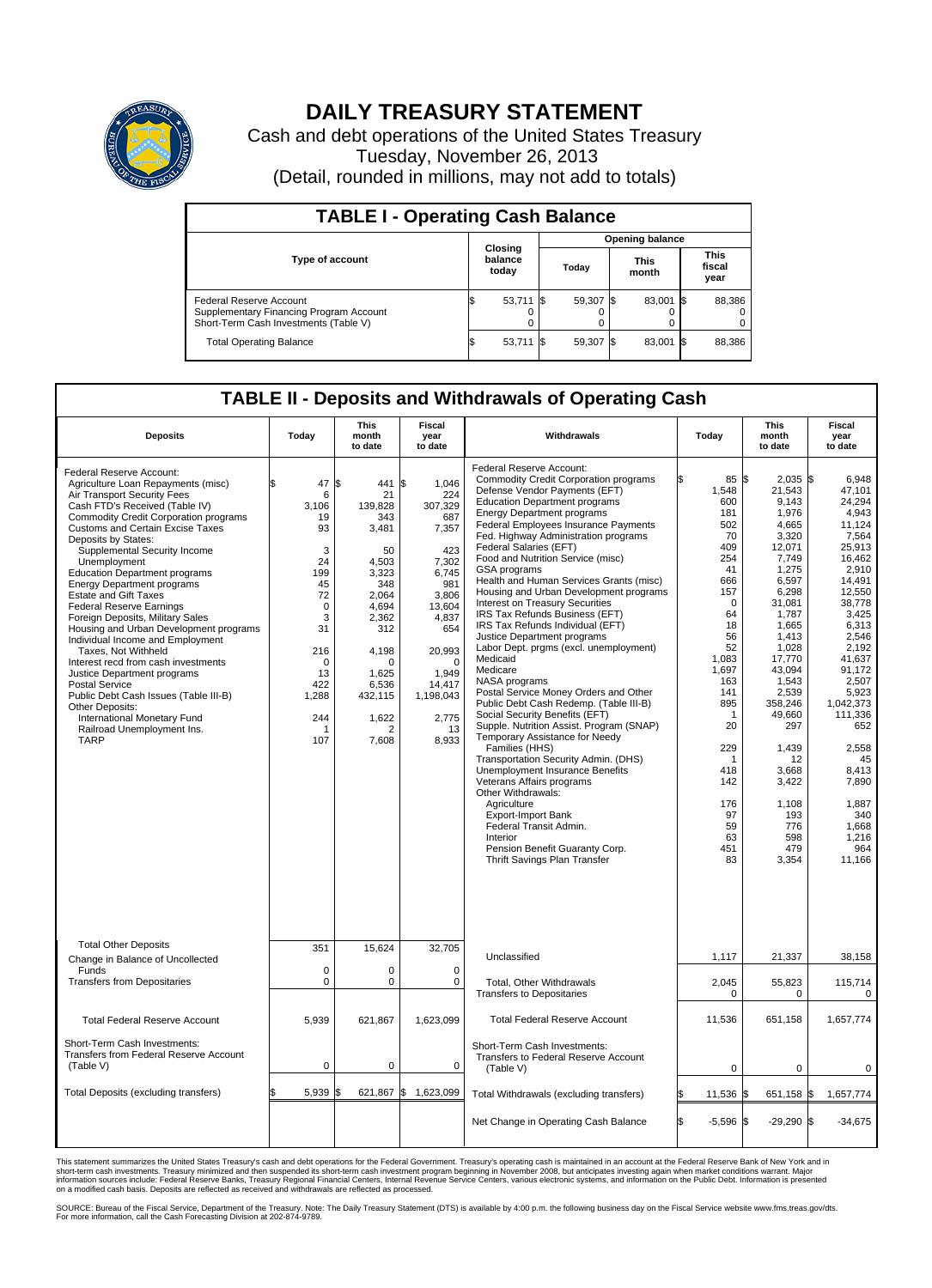

## **DAILY TREASURY STATEMENT**

Cash and debt operations of the United States Treasury Tuesday, November 26, 2013 (Detail, rounded in millions, may not add to totals)

| <b>TABLE I - Operating Cash Balance</b>                                                                     |    |                                    |  |           |  |                      |      |                               |  |  |  |  |
|-------------------------------------------------------------------------------------------------------------|----|------------------------------------|--|-----------|--|----------------------|------|-------------------------------|--|--|--|--|
| <b>Opening balance</b>                                                                                      |    |                                    |  |           |  |                      |      |                               |  |  |  |  |
| <b>Type of account</b>                                                                                      |    | <b>Closing</b><br>balance<br>today |  | Today     |  | <b>This</b><br>month |      | <b>This</b><br>fiscal<br>year |  |  |  |  |
| Federal Reserve Account<br>Supplementary Financing Program Account<br>Short-Term Cash Investments (Table V) |    | $53,711$ \$                        |  | 59,307 \$ |  | 83,001 \$            |      | 88,386                        |  |  |  |  |
| <b>Total Operating Balance</b>                                                                              | IЭ | 53,711                             |  | 59,307 \$ |  | 83,001               | - 15 | 88,386                        |  |  |  |  |

## **TABLE II - Deposits and Withdrawals of Operating Cash**

| <b>Deposits</b>                                                                                                                                                                                                                                                                                                                                                                                                                                                                                                                                                                                                                                                                                                                                                                                                                   | Today                                                                                                                                      | <b>This</b><br>month<br>to date                                                                                                                                           | Fiscal<br>year<br>to date                                                                                                                                                                               | Withdrawals                                                                                                                                                                                                                                                                                                                                                                                                                                                                                                                                                                                                                                                                                                                                                                                                                                                                                                                                                                                                                                                                                                                                                                  | Today                                                                                                                                                                                                                                       | <b>This</b><br>month<br>to date                                                                                                                                                                                                                                                                        | <b>Fiscal</b><br>year<br>to date                                                                                                                                                                                                                                                                                     |
|-----------------------------------------------------------------------------------------------------------------------------------------------------------------------------------------------------------------------------------------------------------------------------------------------------------------------------------------------------------------------------------------------------------------------------------------------------------------------------------------------------------------------------------------------------------------------------------------------------------------------------------------------------------------------------------------------------------------------------------------------------------------------------------------------------------------------------------|--------------------------------------------------------------------------------------------------------------------------------------------|---------------------------------------------------------------------------------------------------------------------------------------------------------------------------|---------------------------------------------------------------------------------------------------------------------------------------------------------------------------------------------------------|------------------------------------------------------------------------------------------------------------------------------------------------------------------------------------------------------------------------------------------------------------------------------------------------------------------------------------------------------------------------------------------------------------------------------------------------------------------------------------------------------------------------------------------------------------------------------------------------------------------------------------------------------------------------------------------------------------------------------------------------------------------------------------------------------------------------------------------------------------------------------------------------------------------------------------------------------------------------------------------------------------------------------------------------------------------------------------------------------------------------------------------------------------------------------|---------------------------------------------------------------------------------------------------------------------------------------------------------------------------------------------------------------------------------------------|--------------------------------------------------------------------------------------------------------------------------------------------------------------------------------------------------------------------------------------------------------------------------------------------------------|----------------------------------------------------------------------------------------------------------------------------------------------------------------------------------------------------------------------------------------------------------------------------------------------------------------------|
| Federal Reserve Account:<br>Agriculture Loan Repayments (misc)<br>Air Transport Security Fees<br>Cash FTD's Received (Table IV)<br><b>Commodity Credit Corporation programs</b><br><b>Customs and Certain Excise Taxes</b><br>Deposits by States:<br>Supplemental Security Income<br>Unemployment<br><b>Education Department programs</b><br><b>Energy Department programs</b><br><b>Estate and Gift Taxes</b><br><b>Federal Reserve Earnings</b><br>Foreign Deposits, Military Sales<br>Housing and Urban Development programs<br>Individual Income and Employment<br>Taxes. Not Withheld<br>Interest recd from cash investments<br>Justice Department programs<br><b>Postal Service</b><br>Public Debt Cash Issues (Table III-B)<br>Other Deposits:<br>International Monetary Fund<br>Railroad Unemployment Ins.<br><b>TARP</b> | \$<br>47<br>6<br>3.106<br>19<br>93<br>3<br>24<br>199<br>45<br>72<br>$\mathbf 0$<br>3<br>31<br>216<br>0<br>13<br>422<br>1,288<br>244<br>107 | l\$<br>441<br>21<br>139.828<br>343<br>3,481<br>50<br>4.503<br>3,323<br>348<br>2,064<br>4,694<br>2,362<br>312<br>4,198<br>0<br>1,625<br>6.536<br>432,115<br>1,622<br>7,608 | <b>S</b><br>1.046<br>224<br>307,329<br>687<br>7,357<br>423<br>7,302<br>6,745<br>981<br>3,806<br>13.604<br>4,837<br>654<br>20,993<br>$\mathbf 0$<br>1,949<br>14,417<br>1,198,043<br>2,775<br>13<br>8,933 | Federal Reserve Account:<br><b>Commodity Credit Corporation programs</b><br>Defense Vendor Payments (EFT)<br><b>Education Department programs</b><br><b>Energy Department programs</b><br>Federal Employees Insurance Payments<br>Fed. Highway Administration programs<br>Federal Salaries (EFT)<br>Food and Nutrition Service (misc)<br>GSA programs<br>Health and Human Services Grants (misc)<br>Housing and Urban Development programs<br>Interest on Treasury Securities<br>IRS Tax Refunds Business (EFT)<br>IRS Tax Refunds Individual (EFT)<br>Justice Department programs<br>Labor Dept. prgms (excl. unemployment)<br>Medicaid<br>Medicare<br>NASA programs<br>Postal Service Money Orders and Other<br>Public Debt Cash Redemp. (Table III-B)<br>Social Security Benefits (EFT)<br>Supple. Nutrition Assist. Program (SNAP)<br>Temporary Assistance for Needy<br>Families (HHS)<br>Transportation Security Admin. (DHS)<br>Unemployment Insurance Benefits<br>Veterans Affairs programs<br>Other Withdrawals:<br>Agriculture<br><b>Export-Import Bank</b><br>Federal Transit Admin.<br>Interior<br>Pension Benefit Guaranty Corp.<br>Thrift Savings Plan Transfer | 85<br>ß.<br>1,548<br>600<br>181<br>502<br>70<br>409<br>254<br>41<br>666<br>157<br>0<br>64<br>18<br>56<br>52<br>1,083<br>1,697<br>163<br>141<br>895<br>-1<br>20<br>229<br>$\overline{1}$<br>418<br>142<br>176<br>97<br>59<br>63<br>451<br>83 | \$<br>2.035<br>21,543<br>9,143<br>1,976<br>4,665<br>3,320<br>12,071<br>7,749<br>1,275<br>6,597<br>6,298<br>31,081<br>1,787<br>1,665<br>1,413<br>1,028<br>17,770<br>43,094<br>1,543<br>2,539<br>358,246<br>49,660<br>297<br>1,439<br>12<br>3.668<br>3,422<br>1,108<br>193<br>776<br>598<br>479<br>3,354 | l\$<br>6.948<br>47.101<br>24.294<br>4.943<br>11,124<br>7,564<br>25.913<br>16,462<br>2.910<br>14,491<br>12,550<br>38,778<br>3.425<br>6,313<br>2,546<br>2,192<br>41.637<br>91,172<br>2,507<br>5.923<br>1,042,373<br>111,336<br>652<br>2,558<br>45<br>8.413<br>7,890<br>1,887<br>340<br>1,668<br>1,216<br>964<br>11,166 |
| <b>Total Other Deposits</b><br>Change in Balance of Uncollected                                                                                                                                                                                                                                                                                                                                                                                                                                                                                                                                                                                                                                                                                                                                                                   | 351                                                                                                                                        | 15,624                                                                                                                                                                    | 32,705                                                                                                                                                                                                  | Unclassified                                                                                                                                                                                                                                                                                                                                                                                                                                                                                                                                                                                                                                                                                                                                                                                                                                                                                                                                                                                                                                                                                                                                                                 | 1,117                                                                                                                                                                                                                                       | 21,337                                                                                                                                                                                                                                                                                                 | 38,158                                                                                                                                                                                                                                                                                                               |
| Funds<br><b>Transfers from Depositaries</b>                                                                                                                                                                                                                                                                                                                                                                                                                                                                                                                                                                                                                                                                                                                                                                                       | $\mathbf 0$<br>$\mathbf 0$                                                                                                                 | 0<br>0                                                                                                                                                                    | $\mathbf 0$<br>$\mathbf 0$                                                                                                                                                                              | Total, Other Withdrawals<br><b>Transfers to Depositaries</b>                                                                                                                                                                                                                                                                                                                                                                                                                                                                                                                                                                                                                                                                                                                                                                                                                                                                                                                                                                                                                                                                                                                 | 2,045<br>$\mathbf 0$                                                                                                                                                                                                                        | 55,823<br>$\mathbf 0$                                                                                                                                                                                                                                                                                  | 115,714<br>$\Omega$                                                                                                                                                                                                                                                                                                  |
| <b>Total Federal Reserve Account</b><br>Short-Term Cash Investments:<br>Transfers from Federal Reserve Account                                                                                                                                                                                                                                                                                                                                                                                                                                                                                                                                                                                                                                                                                                                    | 5,939                                                                                                                                      | 621,867                                                                                                                                                                   | 1,623,099                                                                                                                                                                                               | <b>Total Federal Reserve Account</b><br>Short-Term Cash Investments:<br>Transfers to Federal Reserve Account                                                                                                                                                                                                                                                                                                                                                                                                                                                                                                                                                                                                                                                                                                                                                                                                                                                                                                                                                                                                                                                                 | 11,536                                                                                                                                                                                                                                      | 651,158                                                                                                                                                                                                                                                                                                | 1,657,774                                                                                                                                                                                                                                                                                                            |
| (Table V)                                                                                                                                                                                                                                                                                                                                                                                                                                                                                                                                                                                                                                                                                                                                                                                                                         | 0                                                                                                                                          | 0                                                                                                                                                                         | 0                                                                                                                                                                                                       | (Table V)                                                                                                                                                                                                                                                                                                                                                                                                                                                                                                                                                                                                                                                                                                                                                                                                                                                                                                                                                                                                                                                                                                                                                                    | $\mathbf 0$                                                                                                                                                                                                                                 | $\mathbf 0$                                                                                                                                                                                                                                                                                            | $\mathbf 0$                                                                                                                                                                                                                                                                                                          |
| Total Deposits (excluding transfers)                                                                                                                                                                                                                                                                                                                                                                                                                                                                                                                                                                                                                                                                                                                                                                                              | \$<br>5,939                                                                                                                                | 621,867 \$<br>1\$                                                                                                                                                         | 1,623,099                                                                                                                                                                                               | Total Withdrawals (excluding transfers)                                                                                                                                                                                                                                                                                                                                                                                                                                                                                                                                                                                                                                                                                                                                                                                                                                                                                                                                                                                                                                                                                                                                      | 11,536                                                                                                                                                                                                                                      | 651,158 \$<br>\$                                                                                                                                                                                                                                                                                       | 1,657,774                                                                                                                                                                                                                                                                                                            |
|                                                                                                                                                                                                                                                                                                                                                                                                                                                                                                                                                                                                                                                                                                                                                                                                                                   |                                                                                                                                            |                                                                                                                                                                           |                                                                                                                                                                                                         | Net Change in Operating Cash Balance                                                                                                                                                                                                                                                                                                                                                                                                                                                                                                                                                                                                                                                                                                                                                                                                                                                                                                                                                                                                                                                                                                                                         | S.<br>$-5,596$                                                                                                                                                                                                                              | $-29,290$ \$<br>S.                                                                                                                                                                                                                                                                                     | $-34,675$                                                                                                                                                                                                                                                                                                            |

This statement summarizes the United States Treasury's cash and debt operations for the Federal Government. Treasury's operating cash is maintained in an account at the Federal Reserve Bank of New York and in<br>informetion c

SOURCE: Bureau of the Fiscal Service, Department of the Treasury. Note: The Daily Treasury Statement (DTS) is available by 4:00 p.m. the following business day on the Fiscal Service website www.fms.treas.gov/dts.<br>For more